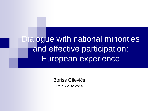Dialogue with national minorities and effective participation: European experience

> Boriss Cilevičs *Kiev, 12.02.2018*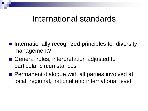### International standards

- Internationally recognized principles for diversity management?
- General rules, interpretation adjusted to particular circumstances
- **Permanent dialogue with all parties involved at** local, regional, national and international level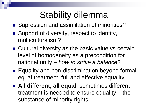# Stability dilemma

- Supression and assimilation of minorities?
- Support of diversity, respect to identity, multiculturalism?
- Cultural diversity as the basic value vs certain level of homogeneity as a precondition for national unity – *how to strike a balance*?
- Equality and non-discrimination beyond formal equal treatment: full and effective equality
- **All different, all equal**: sometimes different treatment is needed to ensure equality – the substance of minority rights.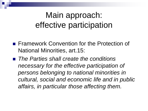# Main approach: effective participation

- **Framework Convention for the Protection of** National Minorities, art.15:
- *The Parties shall create the conditions necessary for the effective participation of persons belonging to national minorities in cultural, social and economic life and in public affairs, in particular those affecting them.*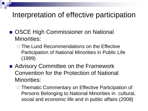### Interpretation of effective participation

- OSCE High Commissioner on National Minorities:
	- $\Box$  The Lund Recommendations on the Effective Participation of National Minorities in Public Life (1999)
- Advisory Committee on the Framework Convention for the Protection of National Minorities:
	- □ Thematic Commentary on Effective Participation of Persons Belonging to National Minorities in cultural, social and economic life and in public affairs (2008)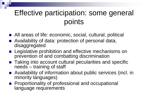### Effective participation: some general points

- All areas of life: economic, social, cultural, political
- Availability of data: protection of personal data, disaggregated
- **EXTE:** Legislative prohibition and effective mechanisms on prevention of and combatting discrimination
- Taking into account cultural pecularities and specific needs – training of staff
- Availability of information about public services (incl. in minority languages)
- **Proportionality of professional and occupational** language requirements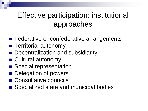### Effective participation: institutional approaches

- Federative or confederative arrangements
- **Territorial autonomy**
- Decentralization and subsidiarity
- Cultural autonomy
- Special representation
- **Delegation of powers**
- Consultative councils
- Specialized state and municipal bodies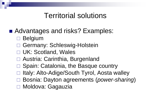#### Territorial solutions

- Advantages and risks? Examples:
	- Belgium
	- Germany: Schleswig-Holstein
	- □ UK: Scotland, Wales
	- □ Austria: Carinthia, Burgenland
	- □ Spain: Catalonia, the Basque country
	- Italy: Alto-Adige/South Tyrol, Aosta walley
	- Bosnia: Dayton agreements (*power-sharing*)
	- Moldova: Gagauzia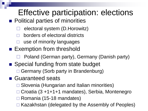# Effective participation: elections

- Political parties of minorities
	- electoral system (D.Horowitz)
	- borders of electoral districts
	- use of minority languages
- **Exemption from threshold** 
	- Poland (German party), Germany (Danish party)
- Special funding from state budget □ Germany (Sorb party in Brandenburg)
- Guaranteed seats
	- □ Slovenia (Hungarian and Italian minorities)
	- Croatia (3 +1+1+1 mandates), Serbia, Montenegro
	- Romania (15-18 mandates)
	- Kazakhstan (delegated by the Assembly of Peoples)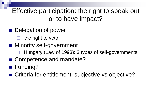Effective participation: the right to speak out or to have impact?

- **Delegation of power** 
	- the right to veto
- Minority self-government
	- Hungary (Law of 1993): 3 types of self-governments
- Competence and mandate?
- Funding?
- Criteria for entitlement: subjective vs objective?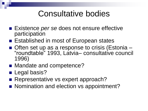# Consultative bodies

- Existence *per se* does not ensure effective participation
- Established in most of European states
- Often set up as a response to crisis (Estonia "roundtable" 1993, Latvia– consultative council 1996)
- Mandate and competence?
- **Legal basis?**
- Representative vs expert approach?
- Nomination and election vs appointment?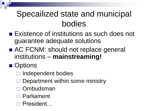# Specailized state and municipal bodies

- Existence of institutions as such does not guarantee adequate solutions
- AC FCNM: should not replace general institutions – **mainstreaming!**

#### ■ Options

- $\Box$  Independent bodies
- Department within some ministry
- **Ombudsman**
- □ Parliament
- President…